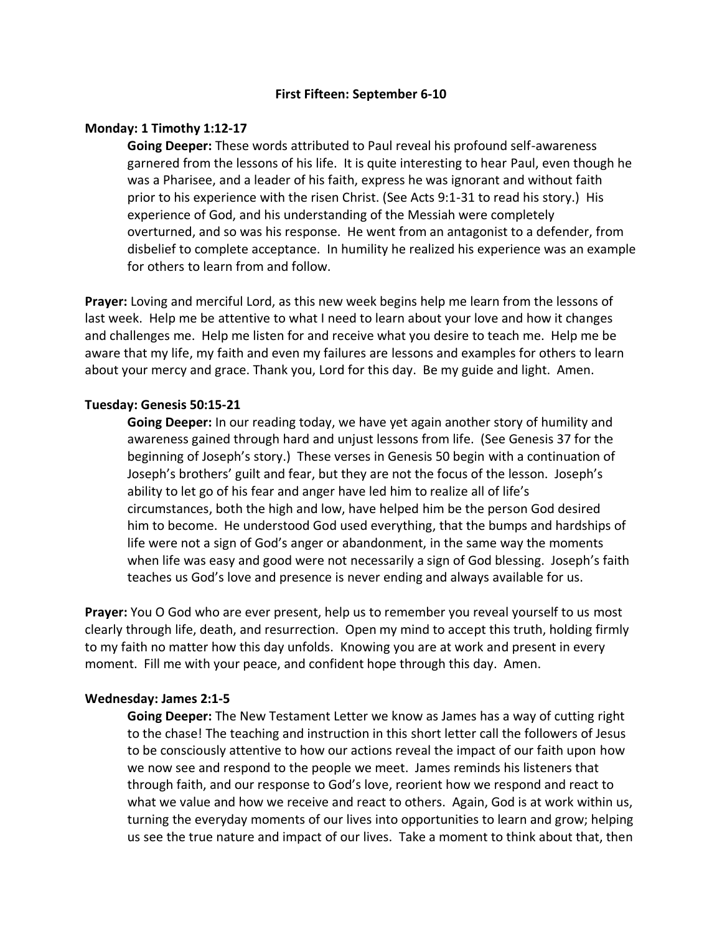### **First Fifteen: September 6-10**

## **Monday: 1 Timothy 1:12-17**

**Going Deeper:** These words attributed to Paul reveal his profound self-awareness garnered from the lessons of his life. It is quite interesting to hear Paul, even though he was a Pharisee, and a leader of his faith, express he was ignorant and without faith prior to his experience with the risen Christ. (See Acts 9:1-31 to read his story.) His experience of God, and his understanding of the Messiah were completely overturned, and so was his response. He went from an antagonist to a defender, from disbelief to complete acceptance. In humility he realized his experience was an example for others to learn from and follow.

**Prayer:** Loving and merciful Lord, as this new week begins help me learn from the lessons of last week. Help me be attentive to what I need to learn about your love and how it changes and challenges me. Help me listen for and receive what you desire to teach me. Help me be aware that my life, my faith and even my failures are lessons and examples for others to learn about your mercy and grace. Thank you, Lord for this day. Be my guide and light. Amen.

### **Tuesday: Genesis 50:15-21**

**Going Deeper:** In our reading today, we have yet again another story of humility and awareness gained through hard and unjust lessons from life. (See Genesis 37 for the beginning of Joseph's story.) These verses in Genesis 50 begin with a continuation of Joseph's brothers' guilt and fear, but they are not the focus of the lesson. Joseph's ability to let go of his fear and anger have led him to realize all of life's circumstances, both the high and low, have helped him be the person God desired him to become. He understood God used everything, that the bumps and hardships of life were not a sign of God's anger or abandonment, in the same way the moments when life was easy and good were not necessarily a sign of God blessing. Joseph's faith teaches us God's love and presence is never ending and always available for us.

**Prayer:** You O God who are ever present, help us to remember you reveal yourself to us most clearly through life, death, and resurrection. Open my mind to accept this truth, holding firmly to my faith no matter how this day unfolds. Knowing you are at work and present in every moment. Fill me with your peace, and confident hope through this day. Amen.

#### **Wednesday: James 2:1-5**

**Going Deeper:** The New Testament Letter we know as James has a way of cutting right to the chase! The teaching and instruction in this short letter call the followers of Jesus to be consciously attentive to how our actions reveal the impact of our faith upon how we now see and respond to the people we meet. James reminds his listeners that through faith, and our response to God's love, reorient how we respond and react to what we value and how we receive and react to others. Again, God is at work within us, turning the everyday moments of our lives into opportunities to learn and grow; helping us see the true nature and impact of our lives. Take a moment to think about that, then